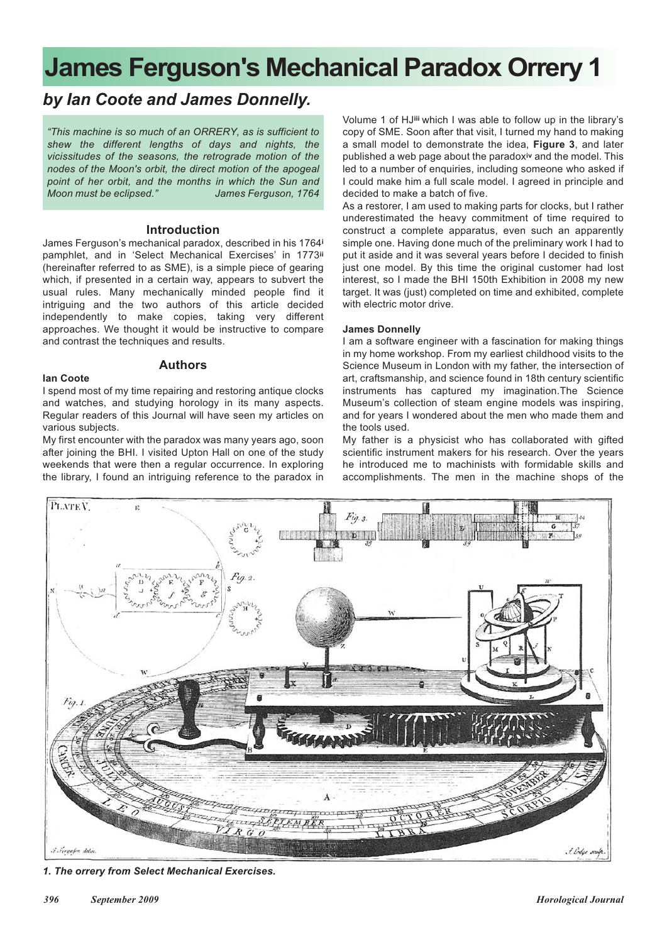# **James Ferguson's Mechanical Paradox Orrery 1**

# *by Ian Coote and James Donnelly.*

*"This machine is so much of an ORRERY, as is sufficient to shew the different lengths of days and nights, the vicissitudes of the seasons, the retrograde motion of the nodes of the Moon's orbit, the direct motion of the apogeal point of her orbit, and the months in which the Sun and Moon must be eclipsed." James Ferguson, 1764*

# **Introduction**

James Ferguson's mechanical paradox, described in his 1764**<sup>i</sup>** pamphlet, and in 'Select Mechanical Exercises' in 1773**ii** (hereinafter referred to as SME), is a simple piece of gearing which, if presented in a certain way, appears to subvert the usual rules. Many mechanically minded people find it intriguing and the two authors of this article decided independently to make copies, taking very different approaches. We thought it would be instructive to compare and contrast the techniques and results.

# **Ian Coote**

# **Authors**

I spend most of my time repairing and restoring antique clocks and watches, and studying horology in its many aspects. Regular readers of this Journal will have seen my articles on various subjects.

My first encounter with the paradox was many years ago, soon after joining the BHI. I visited Upton Hall on one of the study weekends that were then a regular occurrence. In exploring the library, I found an intriguing reference to the paradox in

Volume 1 of HJ**iii** which I was able to follow up in the library's copy of SME. Soon after that visit, I turned my hand to making a small model to demonstrate the idea, **Figure 3**, and later published a web page about the paradox**iv** and the model. This led to a number of enquiries, including someone who asked if I could make him a full scale model. I agreed in principle and decided to make a batch of five.

As a restorer, I am used to making parts for clocks, but I rather underestimated the heavy commitment of time required to construct a complete apparatus, even such an apparently simple one. Having done much of the preliminary work I had to put it aside and it was several years before I decided to finish just one model. By this time the original customer had lost interest, so I made the BHI 150th Exhibition in 2008 my new target. It was (just) completed on time and exhibited, complete with electric motor drive.

# **James Donnelly**

I am a software engineer with a fascination for making things in my home workshop. From my earliest childhood visits to the Science Museum in London with my father, the intersection of art, craftsmanship, and science found in 18th century scientific instruments has captured my imagination.The Science Museum's collection of steam engine models was inspiring, and for years I wondered about the men who made them and the tools used.

My father is a physicist who has collaborated with gifted scientific instrument makers for his research. Over the years he introduced me to machinists with formidable skills and accomplishments. The men in the machine shops of the



*1. The orrery from Select Mechanical Exercises.*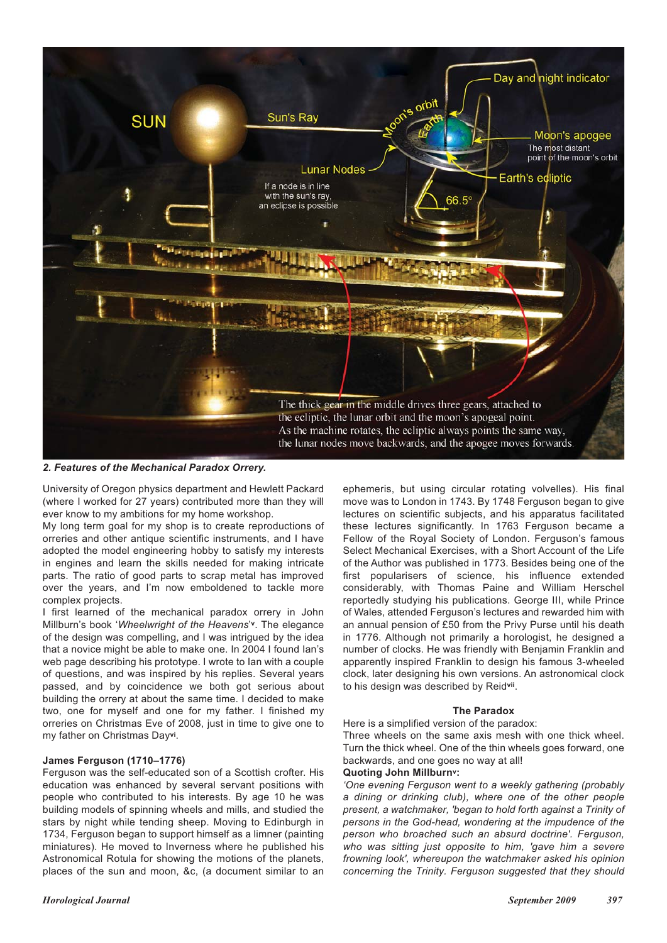

*2. Features of the Mechanical Paradox Orrery.*

University of Oregon physics department and Hewlett Packard (where I worked for 27 years) contributed more than they will ever know to my ambitions for my home workshop.

My long term goal for my shop is to create reproductions of orreries and other antique scientific instruments, and I have adopted the model engineering hobby to satisfy my interests in engines and learn the skills needed for making intricate parts. The ratio of good parts to scrap metal has improved over the years, and I'm now emboldened to tackle more complex projects.

I first learned of the mechanical paradox orrery in John Millburn's book '*Wheelwright of the Heavens*'**v**. The elegance of the design was compelling, and I was intrigued by the idea that a novice might be able to make one. In 2004 I found Ian's web page describing his prototype. I wrote to Ian with a couple of questions, and was inspired by his replies. Several years passed, and by coincidence we both got serious about building the orrery at about the same time. I decided to make two, one for myself and one for my father. I finished my orreries on Christmas Eve of 2008, just in time to give one to my father on Christmas Day**vi**.

#### **James Ferguson (1710–1776)**

Ferguson was the self-educated son of a Scottish crofter. His education was enhanced by several servant positions with people who contributed to his interests. By age 10 he was building models of spinning wheels and mills, and studied the stars by night while tending sheep. Moving to Edinburgh in 1734, Ferguson began to support himself as a limner (painting miniatures). He moved to Inverness where he published his Astronomical Rotula for showing the motions of the planets, places of the sun and moon, &c, (a document similar to an ephemeris, but using circular rotating volvelles). His final move was to London in 1743. By 1748 Ferguson began to give lectures on scientific subjects, and his apparatus facilitated these lectures significantly. In 1763 Ferguson became a Fellow of the Royal Society of London. Ferguson's famous Select Mechanical Exercises, with a Short Account of the Life of the Author was published in 1773. Besides being one of the first popularisers of science, his influence extended considerably, with Thomas Paine and William Herschel reportedly studying his publications. George III, while Prince of Wales, attended Ferguson's lectures and rewarded him with an annual pension of £50 from the Privy Purse until his death in 1776. Although not primarily a horologist, he designed a number of clocks. He was friendly with Benjamin Franklin and apparently inspired Franklin to design his famous 3-wheeled clock, later designing his own versions. An astronomical clock to his design was described by Reid**vii**.

#### **The Paradox**

Here is a simplified version of the paradox:

Three wheels on the same axis mesh with one thick wheel. Turn the thick wheel. One of the thin wheels goes forward, one backwards, and one goes no way at all!

#### **Quoting John Millburnv:**

*'One evening Ferguson went to a weekly gathering (probably a dining or drinking club), where one of the other people present, a watchmaker, 'began to hold forth against a Trinity of persons in the God-head, wondering at the impudence of the person who broached such an absurd doctrine'. Ferguson, who was sitting just opposite to him, 'gave him a severe frowning look', whereupon the watchmaker asked his opinion concerning the Trinity. Ferguson suggested that they should*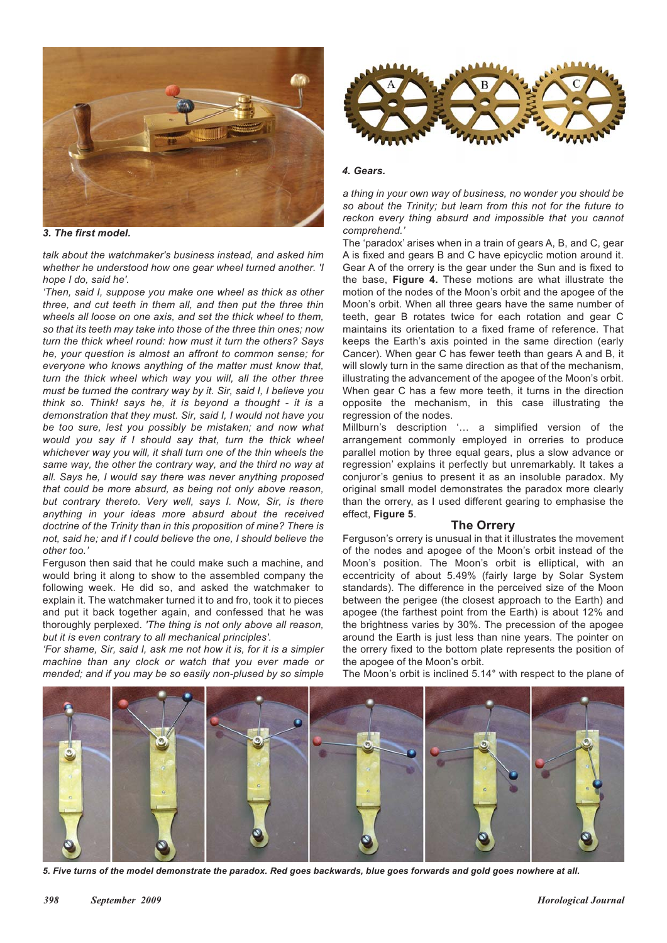

*3. The first model.*

*talk about the watchmaker's business instead, and asked him whether he understood how one gear wheel turned another. 'I hope I do, said he'.* 

*'Then, said I, suppose you make one wheel as thick as other three, and cut teeth in them all, and then put the three thin wheels all loose on one axis, and set the thick wheel to them, so that its teeth may take into those of the three thin ones; now turn the thick wheel round: how must it turn the others? Says he, your question is almost an affront to common sense; for everyone who knows anything of the matter must know that, turn the thick wheel which way you will, all the other three must be turned the contrary way by it. Sir, said I, I believe you think so. Think! says he, it is beyond a thought - it is a demonstration that they must. Sir, said I, I would not have you be too sure, lest you possibly be mistaken; and now what would you say if I should say that, turn the thick wheel whichever way you will, it shall turn one of the thin wheels the same way, the other the contrary way, and the third no way at all. Says he, I would say there was never anything proposed that could be more absurd, as being not only above reason, but contrary thereto. Very well, says I. Now, Sir, is there anything in your ideas more absurd about the received doctrine of the Trinity than in this proposition of mine? There is not, said he; and if I could believe the one, I should believe the other too.'*

Ferguson then said that he could make such a machine, and would bring it along to show to the assembled company the following week. He did so, and asked the watchmaker to explain it. The watchmaker turned it to and fro, took it to pieces and put it back together again, and confessed that he was thoroughly perplexed. *'The thing is not only above all reason, but it is even contrary to all mechanical principles'.* 

*'For shame, Sir, said I, ask me not how it is, for it is a simpler machine than any clock or watch that you ever made or mended; and if you may be so easily non-plused by so simple*



#### *4. Gears.*

*a thing in your own way of business, no wonder you should be so about the Trinity; but learn from this not for the future to reckon every thing absurd and impossible that you cannot comprehend.'*

The 'paradox' arises when in a train of gears A, B, and C, gear A is fixed and gears B and C have epicyclic motion around it. Gear A of the orrery is the gear under the Sun and is fixed to the base, **Figure 4.** These motions are what illustrate the motion of the nodes of the Moon's orbit and the apogee of the Moon's orbit. When all three gears have the same number of teeth, gear B rotates twice for each rotation and gear C maintains its orientation to a fixed frame of reference. That keeps the Earth's axis pointed in the same direction (early Cancer). When gear C has fewer teeth than gears A and B, it will slowly turn in the same direction as that of the mechanism, illustrating the advancement of the apogee of the Moon's orbit. When gear C has a few more teeth, it turns in the direction opposite the mechanism, in this case illustrating the regression of the nodes.

Millburn's description '… a simplified version of the arrangement commonly employed in orreries to produce parallel motion by three equal gears, plus a slow advance or regression' explains it perfectly but unremarkably. It takes a conjuror's genius to present it as an insoluble paradox. My original small model demonstrates the paradox more clearly than the orrery, as I used different gearing to emphasise the effect, **Figure 5**.

# **The Orrery**

Ferguson's orrery is unusual in that it illustrates the movement of the nodes and apogee of the Moon's orbit instead of the Moon's position. The Moon's orbit is elliptical, with an eccentricity of about 5.49% (fairly large by Solar System standards). The difference in the perceived size of the Moon between the perigee (the closest approach to the Earth) and apogee (the farthest point from the Earth) is about 12% and the brightness varies by 30%. The precession of the apogee around the Earth is just less than nine years. The pointer on the orrery fixed to the bottom plate represents the position of the apogee of the Moon's orbit.



*5. Five turns of the model demonstrate the paradox. Red goes backwards, blue goes forwards and gold goes nowhere at all.*